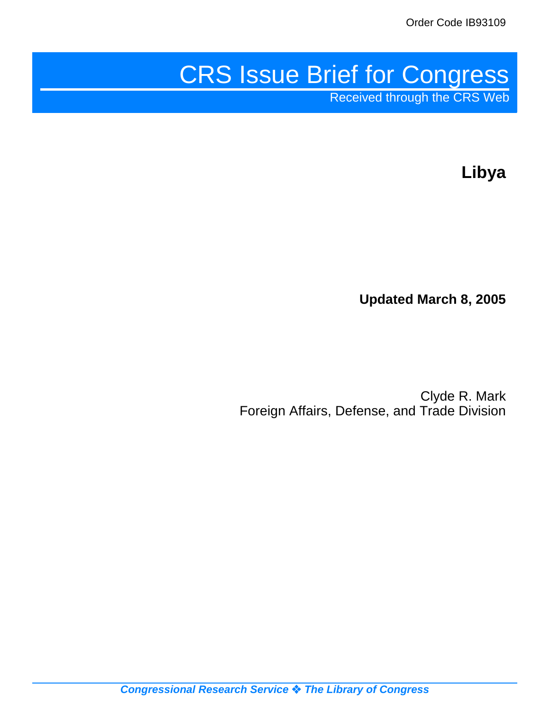# CRS Issue Brief for Congress

Received through the CRS Web

**Libya**

**Updated March 8, 2005**

Clyde R. Mark Foreign Affairs, Defense, and Trade Division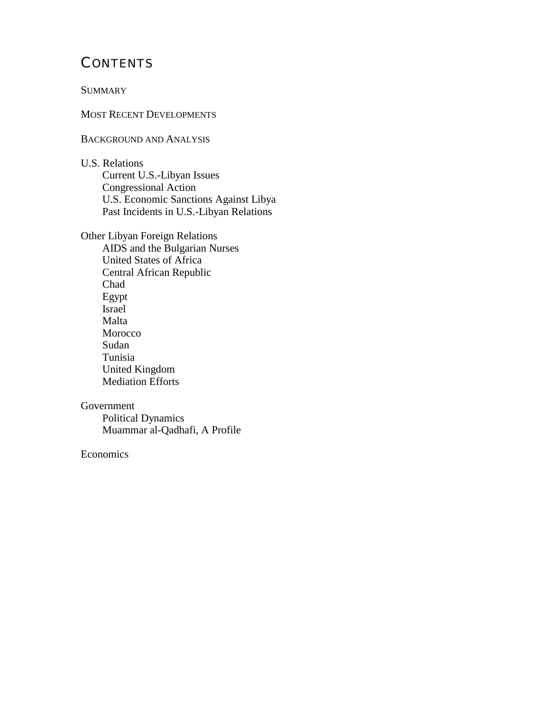# **CONTENTS**

#### **SUMMARY**

#### MOST RECENT DEVELOPMENTS

#### BACKGROUND AND ANALYSIS

U.S. Relations Current U.S.-Libyan Issues Congressional Action U.S. Economic Sanctions Against Libya Past Incidents in U.S.-Libyan Relations

Other Libyan Foreign Relations AIDS and the Bulgarian Nurses United States of Africa Central African Republic Chad Egypt Israel Malta Morocco Sudan Tunisia United Kingdom Mediation Efforts

#### Government

Political Dynamics Muammar al-Qadhafi, A Profile

#### Economics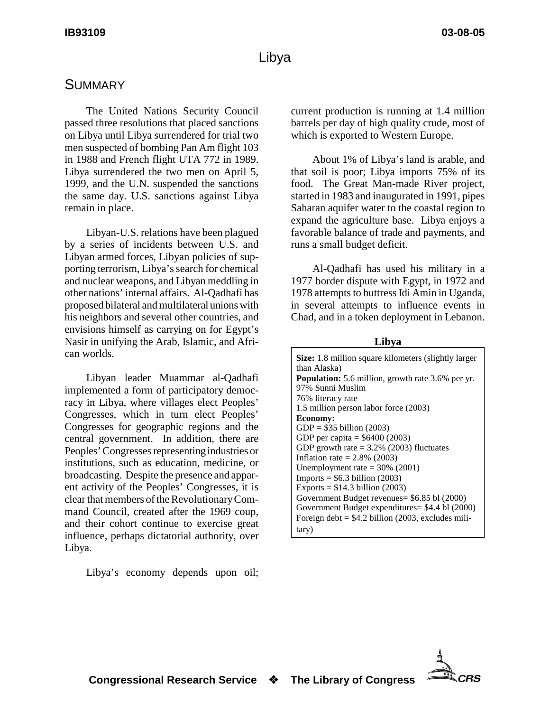# **SUMMARY**

The United Nations Security Council passed three resolutions that placed sanctions on Libya until Libya surrendered for trial two men suspected of bombing Pan Am flight 103 in 1988 and French flight UTA 772 in 1989. Libya surrendered the two men on April 5, 1999, and the U.N. suspended the sanctions the same day. U.S. sanctions against Libya remain in place.

Libyan-U.S. relations have been plagued by a series of incidents between U.S. and Libyan armed forces, Libyan policies of supporting terrorism, Libya's search for chemical and nuclear weapons, and Libyan meddling in other nations' internal affairs. Al-Qadhafi has proposed bilateral and multilateral unions with his neighbors and several other countries, and envisions himself as carrying on for Egypt's Nasir in unifying the Arab, Islamic, and African worlds.

Libyan leader Muammar al-Qadhafi implemented a form of participatory democracy in Libya, where villages elect Peoples' Congresses, which in turn elect Peoples' Congresses for geographic regions and the central government. In addition, there are Peoples' Congresses representing industries or institutions, such as education, medicine, or broadcasting. Despite the presence and apparent activity of the Peoples' Congresses, it is clear that members of the Revolutionary Command Council, created after the 1969 coup, and their cohort continue to exercise great influence, perhaps dictatorial authority, over Libya.

Libya's economy depends upon oil;

current production is running at 1.4 million barrels per day of high quality crude, most of which is exported to Western Europe.

About 1% of Libya's land is arable, and that soil is poor; Libya imports 75% of its food. The Great Man-made River project, started in 1983 and inaugurated in 1991, pipes Saharan aquifer water to the coastal region to expand the agriculture base. Libya enjoys a favorable balance of trade and payments, and runs a small budget deficit.

Al-Qadhafi has used his military in a 1977 border dispute with Egypt, in 1972 and 1978 attempts to buttress Idi Amin in Uganda, in several attempts to influence events in Chad, and in a token deployment in Lebanon.

**Libya**

**Size:** 1.8 million square kilometers (slightly larger than Alaska) **Population:** 5.6 million, growth rate 3.6% per yr. 97% Sunni Muslim 76% literacy rate 1.5 million person labor force (2003) **Economy:** GDP = \$35 billion (2003) GDP per capita = \$6400 (2003) GDP growth rate  $= 3.2\%$  (2003) fluctuates Inflation rate  $= 2.8\%$  (2003) Unemployment rate  $=$  30% (2001)  $Imports = $6.3 billion (2003)$ Exports =  $$14.3$  billion (2003) Government Budget revenues= \$6.85 bl (2000) Government Budget expenditures= \$4.4 bl (2000) Foreign debt  $=$  \$4.2 billion (2003, excludes military)

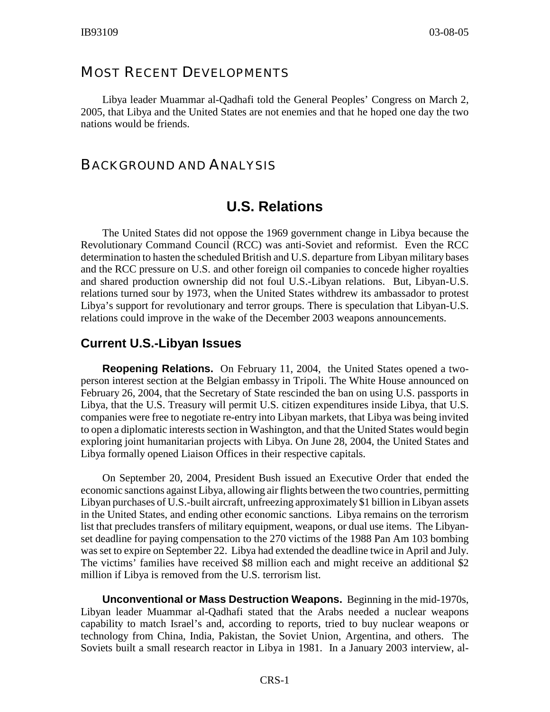## MOST RECENT DEVELOPMENTS

Libya leader Muammar al-Qadhafi told the General Peoples' Congress on March 2, 2005, that Libya and the United States are not enemies and that he hoped one day the two nations would be friends.

## BACKGROUND AND ANALYSIS

# **U.S. Relations**

The United States did not oppose the 1969 government change in Libya because the Revolutionary Command Council (RCC) was anti-Soviet and reformist. Even the RCC determination to hasten the scheduled British and U.S. departure from Libyan military bases and the RCC pressure on U.S. and other foreign oil companies to concede higher royalties and shared production ownership did not foul U.S.-Libyan relations. But, Libyan-U.S. relations turned sour by 1973, when the United States withdrew its ambassador to protest Libya's support for revolutionary and terror groups. There is speculation that Libyan-U.S. relations could improve in the wake of the December 2003 weapons announcements.

## **Current U.S.-Libyan Issues**

**Reopening Relations.** On February 11, 2004, the United States opened a twoperson interest section at the Belgian embassy in Tripoli. The White House announced on February 26, 2004, that the Secretary of State rescinded the ban on using U.S. passports in Libya, that the U.S. Treasury will permit U.S. citizen expenditures inside Libya, that U.S. companies were free to negotiate re-entry into Libyan markets, that Libya was being invited to open a diplomatic interests section in Washington, and that the United States would begin exploring joint humanitarian projects with Libya. On June 28, 2004, the United States and Libya formally opened Liaison Offices in their respective capitals.

On September 20, 2004, President Bush issued an Executive Order that ended the economic sanctions against Libya, allowing air flights between the two countries, permitting Libyan purchases of U.S.-built aircraft, unfreezing approximately \$1 billion in Libyan assets in the United States, and ending other economic sanctions. Libya remains on the terrorism list that precludes transfers of military equipment, weapons, or dual use items. The Libyanset deadline for paying compensation to the 270 victims of the 1988 Pan Am 103 bombing was set to expire on September 22. Libya had extended the deadline twice in April and July. The victims' families have received \$8 million each and might receive an additional \$2 million if Libya is removed from the U.S. terrorism list.

**Unconventional or Mass Destruction Weapons.** Beginning in the mid-1970s, Libyan leader Muammar al-Qadhafi stated that the Arabs needed a nuclear weapons capability to match Israel's and, according to reports, tried to buy nuclear weapons or technology from China, India, Pakistan, the Soviet Union, Argentina, and others. The Soviets built a small research reactor in Libya in 1981. In a January 2003 interview, al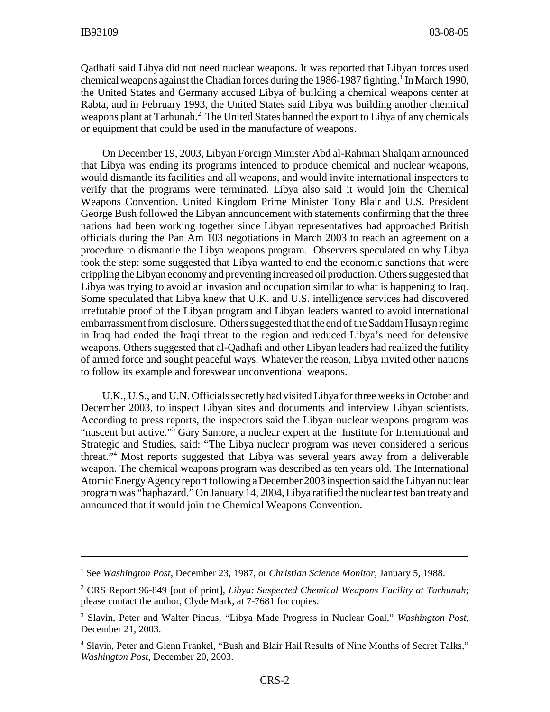Qadhafi said Libya did not need nuclear weapons. It was reported that Libyan forces used chemical weapons against the Chadian forces during the 1986-1987 fighting.<sup>1</sup> In March 1990, the United States and Germany accused Libya of building a chemical weapons center at Rabta, and in February 1993, the United States said Libya was building another chemical weapons plant at Tarhunah.<sup>2</sup> The United States banned the export to Libya of any chemicals or equipment that could be used in the manufacture of weapons.

On December 19, 2003, Libyan Foreign Minister Abd al-Rahman Shalqam announced that Libya was ending its programs intended to produce chemical and nuclear weapons, would dismantle its facilities and all weapons, and would invite international inspectors to verify that the programs were terminated. Libya also said it would join the Chemical Weapons Convention. United Kingdom Prime Minister Tony Blair and U.S. President George Bush followed the Libyan announcement with statements confirming that the three nations had been working together since Libyan representatives had approached British officials during the Pan Am 103 negotiations in March 2003 to reach an agreement on a procedure to dismantle the Libya weapons program. Observers speculated on why Libya took the step: some suggested that Libya wanted to end the economic sanctions that were crippling the Libyan economy and preventing increased oil production. Others suggested that Libya was trying to avoid an invasion and occupation similar to what is happening to Iraq. Some speculated that Libya knew that U.K. and U.S. intelligence services had discovered irrefutable proof of the Libyan program and Libyan leaders wanted to avoid international embarrassment from disclosure. Others suggested that the end of the Saddam Husayn regime in Iraq had ended the Iraqi threat to the region and reduced Libya's need for defensive weapons. Others suggested that al-Qadhafi and other Libyan leaders had realized the futility of armed force and sought peaceful ways. Whatever the reason, Libya invited other nations to follow its example and foreswear unconventional weapons.

U.K., U.S., and U.N. Officials secretly had visited Libya for three weeks in October and December 2003, to inspect Libyan sites and documents and interview Libyan scientists. According to press reports, the inspectors said the Libyan nuclear weapons program was "nascent but active."<sup>3</sup> Gary Samore, a nuclear expert at the Institute for International and Strategic and Studies, said: "The Libya nuclear program was never considered a serious threat."4 Most reports suggested that Libya was several years away from a deliverable weapon. The chemical weapons program was described as ten years old. The International Atomic Energy Agency report following a December 2003 inspection said the Libyan nuclear program was "haphazard." On January 14, 2004, Libya ratified the nuclear test ban treaty and announced that it would join the Chemical Weapons Convention.

<sup>1</sup> See *Washington Post*, December 23, 1987, or *Christian Science Monitor*, January 5, 1988.

<sup>2</sup> CRS Report 96-849 [out of print], *Libya: Suspected Chemical Weapons Facility at Tarhunah*; please contact the author, Clyde Mark, at 7-7681 for copies.

<sup>3</sup> Slavin, Peter and Walter Pincus, "Libya Made Progress in Nuclear Goal," *Washington Post*, December 21, 2003.

<sup>4</sup> Slavin, Peter and Glenn Frankel, "Bush and Blair Hail Results of Nine Months of Secret Talks," *Washington Post*, December 20, 2003.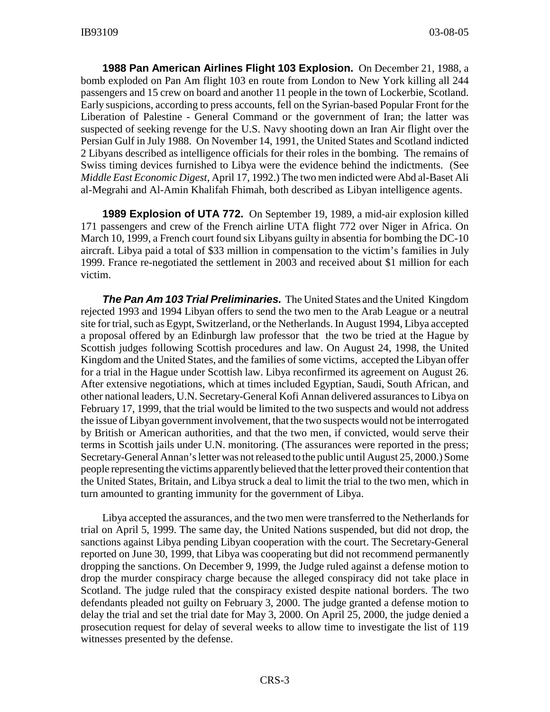**1988 Pan American Airlines Flight 103 Explosion.** On December 21, 1988, a bomb exploded on Pan Am flight 103 en route from London to New York killing all 244 passengers and 15 crew on board and another 11 people in the town of Lockerbie, Scotland. Early suspicions, according to press accounts, fell on the Syrian-based Popular Front for the Liberation of Palestine - General Command or the government of Iran; the latter was suspected of seeking revenge for the U.S. Navy shooting down an Iran Air flight over the Persian Gulf in July 1988. On November 14, 1991, the United States and Scotland indicted 2 Libyans described as intelligence officials for their roles in the bombing. The remains of Swiss timing devices furnished to Libya were the evidence behind the indictments. (See *Middle East Economic Digest*, April 17, 1992.) The two men indicted were Abd al-Baset Ali al-Megrahi and Al-Amin Khalifah Fhimah, both described as Libyan intelligence agents.

**1989 Explosion of UTA 772.** On September 19, 1989, a mid-air explosion killed 171 passengers and crew of the French airline UTA flight 772 over Niger in Africa. On March 10, 1999, a French court found six Libyans guilty in absentia for bombing the DC-10 aircraft. Libya paid a total of \$33 million in compensation to the victim's families in July 1999. France re-negotiated the settlement in 2003 and received about \$1 million for each victim.

*The Pan Am 103 Trial Preliminaries.* The United States and the United Kingdom rejected 1993 and 1994 Libyan offers to send the two men to the Arab League or a neutral site for trial, such as Egypt, Switzerland, or the Netherlands. In August 1994, Libya accepted a proposal offered by an Edinburgh law professor that the two be tried at the Hague by Scottish judges following Scottish procedures and law. On August 24, 1998, the United Kingdom and the United States, and the families of some victims, accepted the Libyan offer for a trial in the Hague under Scottish law. Libya reconfirmed its agreement on August 26. After extensive negotiations, which at times included Egyptian, Saudi, South African, and other national leaders, U.N. Secretary-General Kofi Annan delivered assurances to Libya on February 17, 1999, that the trial would be limited to the two suspects and would not address the issue of Libyan government involvement, that the two suspects would not be interrogated by British or American authorities, and that the two men, if convicted, would serve their terms in Scottish jails under U.N. monitoring. (The assurances were reported in the press; Secretary-General Annan's letter was not released to the public until August 25, 2000.) Some people representing the victims apparently believed that the letter proved their contention that the United States, Britain, and Libya struck a deal to limit the trial to the two men, which in turn amounted to granting immunity for the government of Libya.

Libya accepted the assurances, and the two men were transferred to the Netherlands for trial on April 5, 1999. The same day, the United Nations suspended, but did not drop, the sanctions against Libya pending Libyan cooperation with the court. The Secretary-General reported on June 30, 1999, that Libya was cooperating but did not recommend permanently dropping the sanctions. On December 9, 1999, the Judge ruled against a defense motion to drop the murder conspiracy charge because the alleged conspiracy did not take place in Scotland. The judge ruled that the conspiracy existed despite national borders. The two defendants pleaded not guilty on February 3, 2000. The judge granted a defense motion to delay the trial and set the trial date for May 3, 2000. On April 25, 2000, the judge denied a prosecution request for delay of several weeks to allow time to investigate the list of 119 witnesses presented by the defense.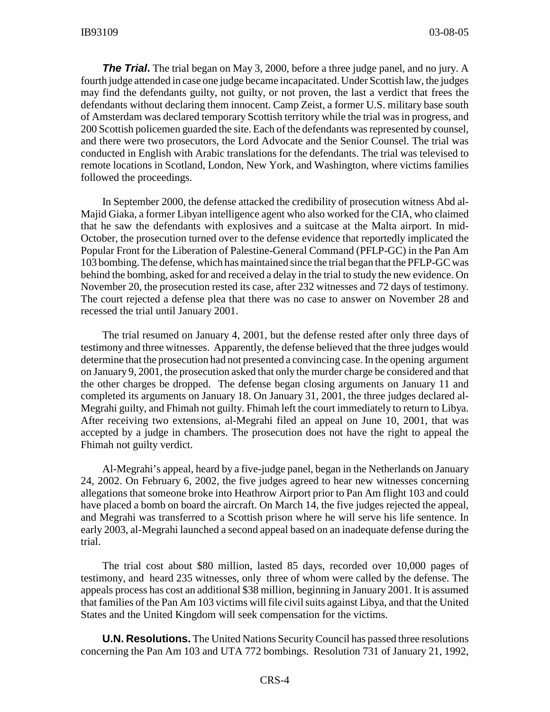**The Trial.** The trial began on May 3, 2000, before a three judge panel, and no jury. A fourth judge attended in case one judge became incapacitated. Under Scottish law, the judges may find the defendants guilty, not guilty, or not proven, the last a verdict that frees the defendants without declaring them innocent. Camp Zeist, a former U.S. military base south of Amsterdam was declared temporary Scottish territory while the trial was in progress, and 200 Scottish policemen guarded the site. Each of the defendants was represented by counsel, and there were two prosecutors, the Lord Advocate and the Senior Counsel. The trial was conducted in English with Arabic translations for the defendants. The trial was televised to remote locations in Scotland, London, New York, and Washington, where victims families followed the proceedings.

In September 2000, the defense attacked the credibility of prosecution witness Abd al-Majid Giaka, a former Libyan intelligence agent who also worked for the CIA, who claimed that he saw the defendants with explosives and a suitcase at the Malta airport. In mid-October, the prosecution turned over to the defense evidence that reportedly implicated the Popular Front for the Liberation of Palestine-General Command (PFLP-GC) in the Pan Am 103 bombing. The defense, which has maintained since the trial began that the PFLP-GC was behind the bombing, asked for and received a delay in the trial to study the new evidence. On November 20, the prosecution rested its case, after 232 witnesses and 72 days of testimony. The court rejected a defense plea that there was no case to answer on November 28 and recessed the trial until January 2001.

The trial resumed on January 4, 2001, but the defense rested after only three days of testimony and three witnesses. Apparently, the defense believed that the three judges would determine that the prosecution had not presented a convincing case. In the opening argument on January 9, 2001, the prosecution asked that only the murder charge be considered and that the other charges be dropped. The defense began closing arguments on January 11 and completed its arguments on January 18. On January 31, 2001, the three judges declared al-Megrahi guilty, and Fhimah not guilty. Fhimah left the court immediately to return to Libya. After receiving two extensions, al-Megrahi filed an appeal on June 10, 2001, that was accepted by a judge in chambers. The prosecution does not have the right to appeal the Fhimah not guilty verdict.

Al-Megrahi's appeal, heard by a five-judge panel, began in the Netherlands on January 24, 2002. On February 6, 2002, the five judges agreed to hear new witnesses concerning allegations that someone broke into Heathrow Airport prior to Pan Am flight 103 and could have placed a bomb on board the aircraft. On March 14, the five judges rejected the appeal, and Megrahi was transferred to a Scottish prison where he will serve his life sentence. In early 2003, al-Megrahi launched a second appeal based on an inadequate defense during the trial.

The trial cost about \$80 million, lasted 85 days, recorded over 10,000 pages of testimony, and heard 235 witnesses, only three of whom were called by the defense. The appeals process has cost an additional \$38 million, beginning in January 2001. It is assumed that families of the Pan Am 103 victims will file civil suits against Libya, and that the United States and the United Kingdom will seek compensation for the victims.

**U.N. Resolutions.** The United Nations Security Council has passed three resolutions concerning the Pan Am 103 and UTA 772 bombings. Resolution 731 of January 21, 1992,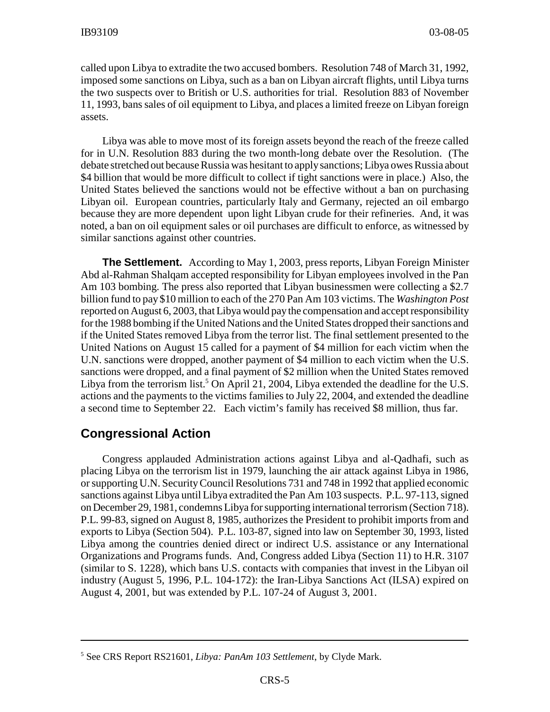called upon Libya to extradite the two accused bombers. Resolution 748 of March 31, 1992, imposed some sanctions on Libya, such as a ban on Libyan aircraft flights, until Libya turns the two suspects over to British or U.S. authorities for trial. Resolution 883 of November 11, 1993, bans sales of oil equipment to Libya, and places a limited freeze on Libyan foreign assets.

Libya was able to move most of its foreign assets beyond the reach of the freeze called for in U.N. Resolution 883 during the two month-long debate over the Resolution. (The debate stretched out because Russia was hesitant to apply sanctions; Libya owes Russia about \$4 billion that would be more difficult to collect if tight sanctions were in place.) Also, the United States believed the sanctions would not be effective without a ban on purchasing Libyan oil. European countries, particularly Italy and Germany, rejected an oil embargo because they are more dependent upon light Libyan crude for their refineries. And, it was noted, a ban on oil equipment sales or oil purchases are difficult to enforce, as witnessed by similar sanctions against other countries.

**The Settlement.** According to May 1, 2003, press reports, Libyan Foreign Minister Abd al-Rahman Shalqam accepted responsibility for Libyan employees involved in the Pan Am 103 bombing. The press also reported that Libyan businessmen were collecting a \$2.7 billion fund to pay \$10 million to each of the 270 Pan Am 103 victims. The *Washington Post* reported on August 6, 2003, that Libya would pay the compensation and accept responsibility for the 1988 bombing if the United Nations and the United States dropped their sanctions and if the United States removed Libya from the terror list. The final settlement presented to the United Nations on August 15 called for a payment of \$4 million for each victim when the U.N. sanctions were dropped, another payment of \$4 million to each victim when the U.S. sanctions were dropped, and a final payment of \$2 million when the United States removed Libya from the terrorism list.<sup>5</sup> On April 21, 2004, Libya extended the deadline for the U.S. actions and the payments to the victims families to July 22, 2004, and extended the deadline a second time to September 22. Each victim's family has received \$8 million, thus far.

## **Congressional Action**

Congress applauded Administration actions against Libya and al-Qadhafi, such as placing Libya on the terrorism list in 1979, launching the air attack against Libya in 1986, or supporting U.N. Security Council Resolutions 731 and 748 in 1992 that applied economic sanctions against Libya until Libya extradited the Pan Am 103 suspects. P.L. 97-113, signed on December 29, 1981, condemns Libya for supporting international terrorism (Section 718). P.L. 99-83, signed on August 8, 1985, authorizes the President to prohibit imports from and exports to Libya (Section 504). P.L. 103-87, signed into law on September 30, 1993, listed Libya among the countries denied direct or indirect U.S. assistance or any International Organizations and Programs funds. And, Congress added Libya (Section 11) to H.R. 3107 (similar to S. 1228), which bans U.S. contacts with companies that invest in the Libyan oil industry (August 5, 1996, P.L. 104-172): the Iran-Libya Sanctions Act (ILSA) expired on August 4, 2001, but was extended by P.L. 107-24 of August 3, 2001.

<sup>5</sup> See CRS Report RS21601, *Libya: PanAm 103 Settlement*, by Clyde Mark.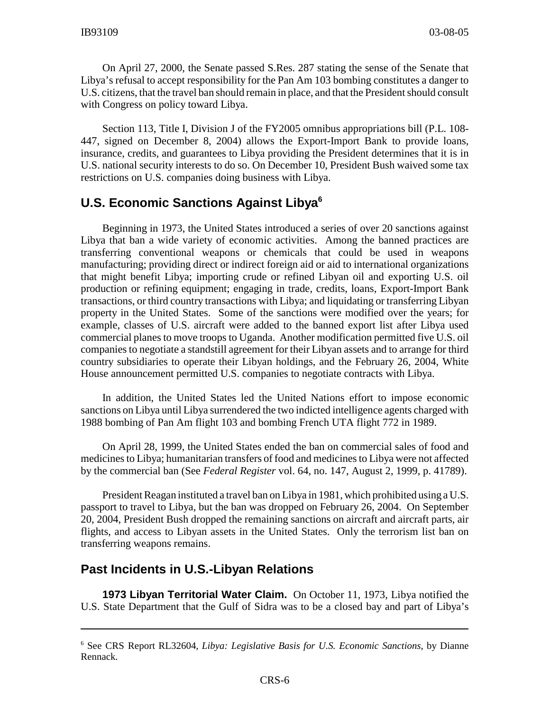On April 27, 2000, the Senate passed S.Res. 287 stating the sense of the Senate that Libya's refusal to accept responsibility for the Pan Am 103 bombing constitutes a danger to U.S. citizens, that the travel ban should remain in place, and that the President should consult with Congress on policy toward Libya.

Section 113, Title I, Division J of the FY2005 omnibus appropriations bill (P.L. 108- 447, signed on December 8, 2004) allows the Export-Import Bank to provide loans, insurance, credits, and guarantees to Libya providing the President determines that it is in U.S. national security interests to do so. On December 10, President Bush waived some tax restrictions on U.S. companies doing business with Libya.

## **U.S. Economic Sanctions Against Libya6**

Beginning in 1973, the United States introduced a series of over 20 sanctions against Libya that ban a wide variety of economic activities. Among the banned practices are transferring conventional weapons or chemicals that could be used in weapons manufacturing; providing direct or indirect foreign aid or aid to international organizations that might benefit Libya; importing crude or refined Libyan oil and exporting U.S. oil production or refining equipment; engaging in trade, credits, loans, Export-Import Bank transactions, or third country transactions with Libya; and liquidating or transferring Libyan property in the United States. Some of the sanctions were modified over the years; for example, classes of U.S. aircraft were added to the banned export list after Libya used commercial planes to move troops to Uganda. Another modification permitted five U.S. oil companies to negotiate a standstill agreement for their Libyan assets and to arrange for third country subsidiaries to operate their Libyan holdings, and the February 26, 2004, White House announcement permitted U.S. companies to negotiate contracts with Libya.

In addition, the United States led the United Nations effort to impose economic sanctions on Libya until Libya surrendered the two indicted intelligence agents charged with 1988 bombing of Pan Am flight 103 and bombing French UTA flight 772 in 1989.

On April 28, 1999, the United States ended the ban on commercial sales of food and medicines to Libya; humanitarian transfers of food and medicines to Libya were not affected by the commercial ban (See *Federal Register* vol. 64, no. 147, August 2, 1999, p. 41789).

President Reagan instituted a travel ban on Libya in 1981, which prohibited using a U.S. passport to travel to Libya, but the ban was dropped on February 26, 2004. On September 20, 2004, President Bush dropped the remaining sanctions on aircraft and aircraft parts, air flights, and access to Libyan assets in the United States. Only the terrorism list ban on transferring weapons remains.

#### **Past Incidents in U.S.-Libyan Relations**

**1973 Libyan Territorial Water Claim.** On October 11, 1973, Libya notified the U.S. State Department that the Gulf of Sidra was to be a closed bay and part of Libya's

<sup>6</sup> See CRS Report RL32604, *Libya: Legislative Basis for U.S. Economic Sanctions*, by Dianne Rennack.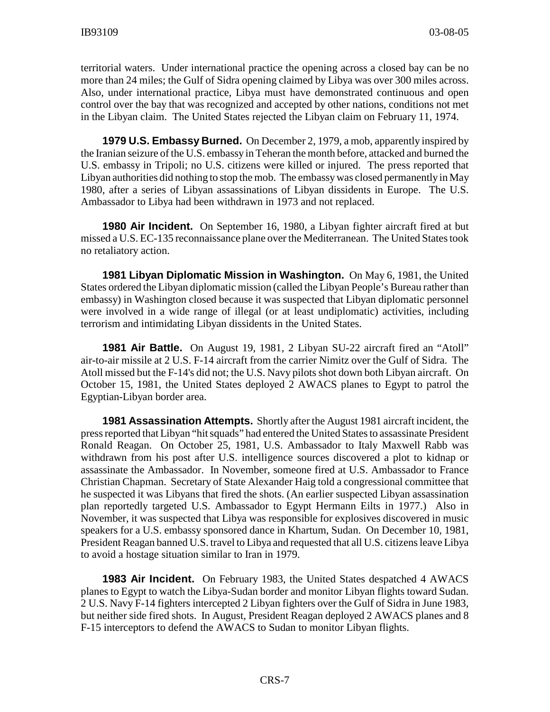territorial waters. Under international practice the opening across a closed bay can be no more than 24 miles; the Gulf of Sidra opening claimed by Libya was over 300 miles across. Also, under international practice, Libya must have demonstrated continuous and open control over the bay that was recognized and accepted by other nations, conditions not met in the Libyan claim. The United States rejected the Libyan claim on February 11, 1974.

**1979 U.S. Embassy Burned.** On December 2, 1979, a mob, apparently inspired by the Iranian seizure of the U.S. embassy in Teheran the month before, attacked and burned the U.S. embassy in Tripoli; no U.S. citizens were killed or injured. The press reported that Libyan authorities did nothing to stop the mob. The embassy was closed permanently in May 1980, after a series of Libyan assassinations of Libyan dissidents in Europe. The U.S. Ambassador to Libya had been withdrawn in 1973 and not replaced.

**1980 Air Incident.** On September 16, 1980, a Libyan fighter aircraft fired at but missed a U.S. EC-135 reconnaissance plane over the Mediterranean. The United States took no retaliatory action.

**1981 Libyan Diplomatic Mission in Washington.** On May 6, 1981, the United States ordered the Libyan diplomatic mission (called the Libyan People's Bureau rather than embassy) in Washington closed because it was suspected that Libyan diplomatic personnel were involved in a wide range of illegal (or at least undiplomatic) activities, including terrorism and intimidating Libyan dissidents in the United States.

**1981 Air Battle.** On August 19, 1981, 2 Libyan SU-22 aircraft fired an "Atoll" air-to-air missile at 2 U.S. F-14 aircraft from the carrier Nimitz over the Gulf of Sidra. The Atoll missed but the F-14's did not; the U.S. Navy pilots shot down both Libyan aircraft. On October 15, 1981, the United States deployed 2 AWACS planes to Egypt to patrol the Egyptian-Libyan border area.

**1981 Assassination Attempts.** Shortly after the August 1981 aircraft incident, the press reported that Libyan "hit squads" had entered the United States to assassinate President Ronald Reagan. On October 25, 1981, U.S. Ambassador to Italy Maxwell Rabb was withdrawn from his post after U.S. intelligence sources discovered a plot to kidnap or assassinate the Ambassador. In November, someone fired at U.S. Ambassador to France Christian Chapman. Secretary of State Alexander Haig told a congressional committee that he suspected it was Libyans that fired the shots. (An earlier suspected Libyan assassination plan reportedly targeted U.S. Ambassador to Egypt Hermann Eilts in 1977.) Also in November, it was suspected that Libya was responsible for explosives discovered in music speakers for a U.S. embassy sponsored dance in Khartum, Sudan. On December 10, 1981, President Reagan banned U.S. travel to Libya and requested that all U.S. citizens leave Libya to avoid a hostage situation similar to Iran in 1979.

**1983 Air Incident.** On February 1983, the United States despatched 4 AWACS planes to Egypt to watch the Libya-Sudan border and monitor Libyan flights toward Sudan. 2 U.S. Navy F-14 fighters intercepted 2 Libyan fighters over the Gulf of Sidra in June 1983, but neither side fired shots. In August, President Reagan deployed 2 AWACS planes and 8 F-15 interceptors to defend the AWACS to Sudan to monitor Libyan flights.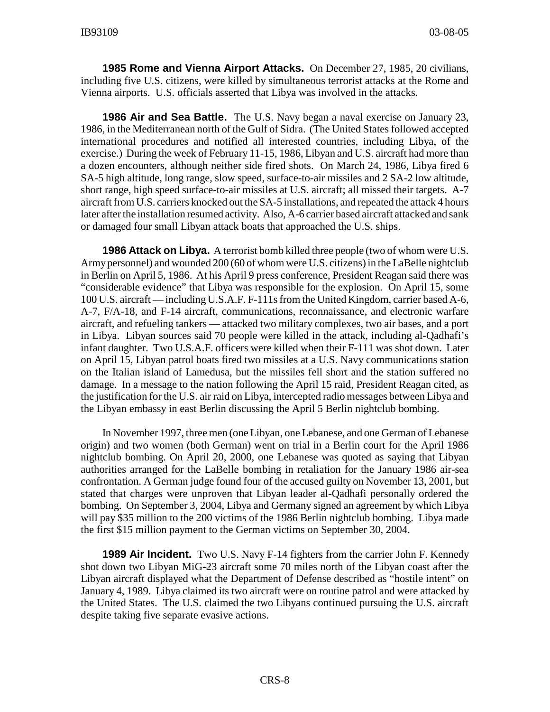**1985 Rome and Vienna Airport Attacks.** On December 27, 1985, 20 civilians, including five U.S. citizens, were killed by simultaneous terrorist attacks at the Rome and Vienna airports. U.S. officials asserted that Libya was involved in the attacks.

**1986 Air and Sea Battle.** The U.S. Navy began a naval exercise on January 23, 1986, in the Mediterranean north of the Gulf of Sidra. (The United States followed accepted international procedures and notified all interested countries, including Libya, of the exercise.) During the week of February 11-15, 1986, Libyan and U.S. aircraft had more than a dozen encounters, although neither side fired shots. On March 24, 1986, Libya fired 6 SA-5 high altitude, long range, slow speed, surface-to-air missiles and 2 SA-2 low altitude, short range, high speed surface-to-air missiles at U.S. aircraft; all missed their targets. A-7 aircraft from U.S. carriers knocked out the SA-5 installations, and repeated the attack 4 hours later after the installation resumed activity. Also, A-6 carrier based aircraft attacked and sank or damaged four small Libyan attack boats that approached the U.S. ships.

**1986 Attack on Libya.** A terrorist bomb killed three people (two of whom were U.S. Army personnel) and wounded 200 (60 of whom were U.S. citizens) in the LaBelle nightclub in Berlin on April 5, 1986. At his April 9 press conference, President Reagan said there was "considerable evidence" that Libya was responsible for the explosion. On April 15, some 100 U.S. aircraft — including U.S.A.F. F-111s from the United Kingdom, carrier based A-6, A-7, F/A-18, and F-14 aircraft, communications, reconnaissance, and electronic warfare aircraft, and refueling tankers — attacked two military complexes, two air bases, and a port in Libya. Libyan sources said 70 people were killed in the attack, including al-Qadhafi's infant daughter. Two U.S.A.F. officers were killed when their F-111 was shot down. Later on April 15, Libyan patrol boats fired two missiles at a U.S. Navy communications station on the Italian island of Lamedusa, but the missiles fell short and the station suffered no damage. In a message to the nation following the April 15 raid, President Reagan cited, as the justification for the U.S. air raid on Libya, intercepted radio messages between Libya and the Libyan embassy in east Berlin discussing the April 5 Berlin nightclub bombing.

In November 1997, three men (one Libyan, one Lebanese, and one German of Lebanese origin) and two women (both German) went on trial in a Berlin court for the April 1986 nightclub bombing. On April 20, 2000, one Lebanese was quoted as saying that Libyan authorities arranged for the LaBelle bombing in retaliation for the January 1986 air-sea confrontation. A German judge found four of the accused guilty on November 13, 2001, but stated that charges were unproven that Libyan leader al-Qadhafi personally ordered the bombing. On September 3, 2004, Libya and Germany signed an agreement by which Libya will pay \$35 million to the 200 victims of the 1986 Berlin nightclub bombing. Libya made the first \$15 million payment to the German victims on September 30, 2004.

**1989 Air Incident.** Two U.S. Navy F-14 fighters from the carrier John F. Kennedy shot down two Libyan MiG-23 aircraft some 70 miles north of the Libyan coast after the Libyan aircraft displayed what the Department of Defense described as "hostile intent" on January 4, 1989. Libya claimed its two aircraft were on routine patrol and were attacked by the United States. The U.S. claimed the two Libyans continued pursuing the U.S. aircraft despite taking five separate evasive actions.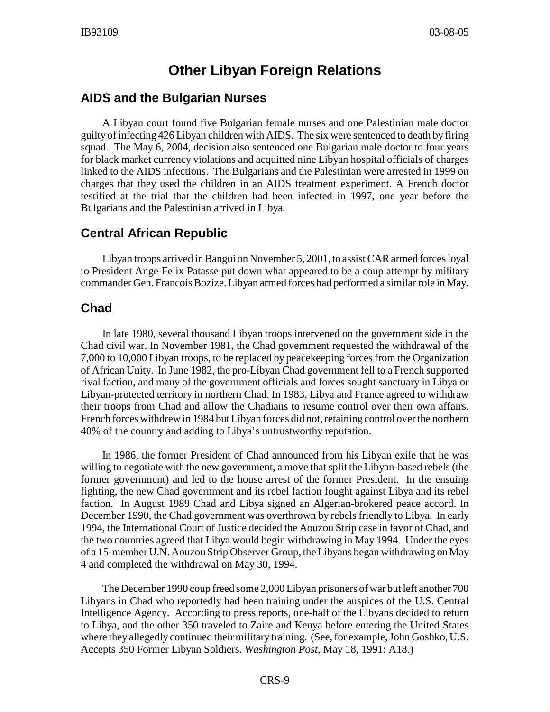# **Other Libyan Foreign Relations**

## **AIDS and the Bulgarian Nurses**

A Libyan court found five Bulgarian female nurses and one Palestinian male doctor guilty of infecting 426 Libyan children with AIDS. The six were sentenced to death by firing squad. The May 6, 2004, decision also sentenced one Bulgarian male doctor to four years for black market currency violations and acquitted nine Libyan hospital officials of charges linked to the AIDS infections. The Bulgarians and the Palestinian were arrested in 1999 on charges that they used the children in an AIDS treatment experiment. A French doctor testified at the trial that the children had been infected in 1997, one year before the Bulgarians and the Palestinian arrived in Libya.

# **Central African Republic**

Libyan troops arrived in Bangui on November 5, 2001, to assist CAR armed forces loyal to President Ange-Felix Patasse put down what appeared to be a coup attempt by military commander Gen. Francois Bozize. Libyan armed forces had performed a similar role in May.

# **Chad**

In late 1980, several thousand Libyan troops intervened on the government side in the Chad civil war. In November 1981, the Chad government requested the withdrawal of the 7,000 to 10,000 Libyan troops, to be replaced by peacekeeping forces from the Organization of African Unity. In June 1982, the pro-Libyan Chad government fell to a French supported rival faction, and many of the government officials and forces sought sanctuary in Libya or Libyan-protected territory in northern Chad. In 1983, Libya and France agreed to withdraw their troops from Chad and allow the Chadians to resume control over their own affairs. French forces withdrew in 1984 but Libyan forces did not, retaining control over the northern 40% of the country and adding to Libya's untrustworthy reputation.

In 1986, the former President of Chad announced from his Libyan exile that he was willing to negotiate with the new government, a move that split the Libyan-based rebels (the former government) and led to the house arrest of the former President. In the ensuing fighting, the new Chad government and its rebel faction fought against Libya and its rebel faction. In August 1989 Chad and Libya signed an Algerian-brokered peace accord. In December 1990, the Chad government was overthrown by rebels friendly to Libya. In early 1994, the International Court of Justice decided the Aouzou Strip case in favor of Chad, and the two countries agreed that Libya would begin withdrawing in May 1994. Under the eyes of a 15-member U.N. Aouzou Strip Observer Group, the Libyans began withdrawing on May 4 and completed the withdrawal on May 30, 1994.

The December 1990 coup freed some 2,000 Libyan prisoners of war but left another 700 Libyans in Chad who reportedly had been training under the auspices of the U.S. Central Intelligence Agency. According to press reports, one-half of the Libyans decided to return to Libya, and the other 350 traveled to Zaire and Kenya before entering the United States where they allegedly continued their military training. (See, for example, John Goshko, U.S. Accepts 350 Former Libyan Soldiers. *Washington Post*, May 18, 1991: A18.)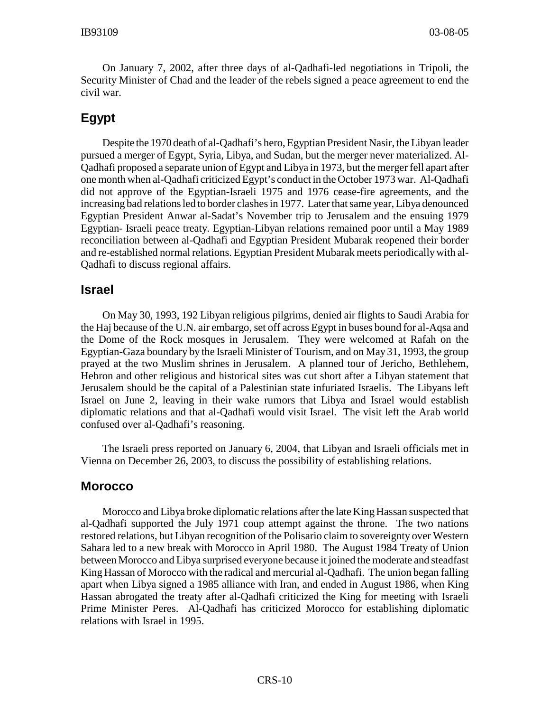On January 7, 2002, after three days of al-Qadhafi-led negotiations in Tripoli, the Security Minister of Chad and the leader of the rebels signed a peace agreement to end the civil war.

# **Egypt**

Despite the 1970 death of al-Qadhafi's hero, Egyptian President Nasir, the Libyan leader pursued a merger of Egypt, Syria, Libya, and Sudan, but the merger never materialized. Al-Qadhafi proposed a separate union of Egypt and Libya in 1973, but the merger fell apart after one month when al-Qadhafi criticized Egypt's conduct in the October 1973 war. Al-Qadhafi did not approve of the Egyptian-Israeli 1975 and 1976 cease-fire agreements, and the increasing bad relations led to border clashes in 1977. Later that same year, Libya denounced Egyptian President Anwar al-Sadat's November trip to Jerusalem and the ensuing 1979 Egyptian- Israeli peace treaty. Egyptian-Libyan relations remained poor until a May 1989 reconciliation between al-Qadhafi and Egyptian President Mubarak reopened their border and re-established normal relations. Egyptian President Mubarak meets periodically with al-Qadhafi to discuss regional affairs.

#### **Israel**

On May 30, 1993, 192 Libyan religious pilgrims, denied air flights to Saudi Arabia for the Haj because of the U.N. air embargo, set off across Egypt in buses bound for al-Aqsa and the Dome of the Rock mosques in Jerusalem. They were welcomed at Rafah on the Egyptian-Gaza boundary by the Israeli Minister of Tourism, and on May 31, 1993, the group prayed at the two Muslim shrines in Jerusalem. A planned tour of Jericho, Bethlehem, Hebron and other religious and historical sites was cut short after a Libyan statement that Jerusalem should be the capital of a Palestinian state infuriated Israelis. The Libyans left Israel on June 2, leaving in their wake rumors that Libya and Israel would establish diplomatic relations and that al-Qadhafi would visit Israel. The visit left the Arab world confused over al-Qadhafi's reasoning.

The Israeli press reported on January 6, 2004, that Libyan and Israeli officials met in Vienna on December 26, 2003, to discuss the possibility of establishing relations.

#### **Morocco**

Morocco and Libya broke diplomatic relations after the late King Hassan suspected that al-Qadhafi supported the July 1971 coup attempt against the throne. The two nations restored relations, but Libyan recognition of the Polisario claim to sovereignty over Western Sahara led to a new break with Morocco in April 1980. The August 1984 Treaty of Union between Morocco and Libya surprised everyone because it joined the moderate and steadfast King Hassan of Morocco with the radical and mercurial al-Qadhafi. The union began falling apart when Libya signed a 1985 alliance with Iran, and ended in August 1986, when King Hassan abrogated the treaty after al-Qadhafi criticized the King for meeting with Israeli Prime Minister Peres. Al-Qadhafi has criticized Morocco for establishing diplomatic relations with Israel in 1995.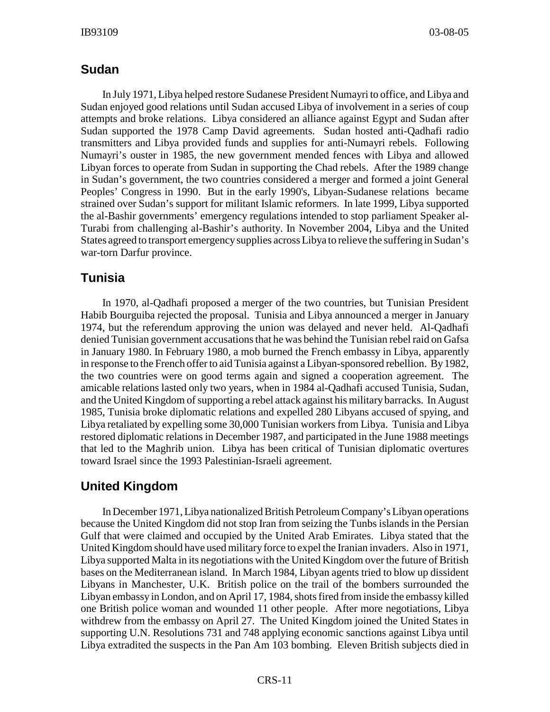## **Sudan**

In July 1971, Libya helped restore Sudanese President Numayri to office, and Libya and Sudan enjoyed good relations until Sudan accused Libya of involvement in a series of coup attempts and broke relations. Libya considered an alliance against Egypt and Sudan after Sudan supported the 1978 Camp David agreements. Sudan hosted anti-Qadhafi radio transmitters and Libya provided funds and supplies for anti-Numayri rebels. Following Numayri's ouster in 1985, the new government mended fences with Libya and allowed Libyan forces to operate from Sudan in supporting the Chad rebels. After the 1989 change in Sudan's government, the two countries considered a merger and formed a joint General Peoples' Congress in 1990. But in the early 1990's, Libyan-Sudanese relations became strained over Sudan's support for militant Islamic reformers. In late 1999, Libya supported the al-Bashir governments' emergency regulations intended to stop parliament Speaker al-Turabi from challenging al-Bashir's authority. In November 2004, Libya and the United States agreed to transport emergency supplies across Libya to relieve the suffering in Sudan's war-torn Darfur province.

## **Tunisia**

In 1970, al-Qadhafi proposed a merger of the two countries, but Tunisian President Habib Bourguiba rejected the proposal. Tunisia and Libya announced a merger in January 1974, but the referendum approving the union was delayed and never held. Al-Qadhafi denied Tunisian government accusations that he was behind the Tunisian rebel raid on Gafsa in January 1980. In February 1980, a mob burned the French embassy in Libya, apparently in response to the French offer to aid Tunisia against a Libyan-sponsored rebellion. By 1982, the two countries were on good terms again and signed a cooperation agreement. The amicable relations lasted only two years, when in 1984 al-Qadhafi accused Tunisia, Sudan, and the United Kingdom of supporting a rebel attack against his military barracks. In August 1985, Tunisia broke diplomatic relations and expelled 280 Libyans accused of spying, and Libya retaliated by expelling some 30,000 Tunisian workers from Libya. Tunisia and Libya restored diplomatic relations in December 1987, and participated in the June 1988 meetings that led to the Maghrib union. Libya has been critical of Tunisian diplomatic overtures toward Israel since the 1993 Palestinian-Israeli agreement.

# **United Kingdom**

In December 1971, Libya nationalized British Petroleum Company's Libyan operations because the United Kingdom did not stop Iran from seizing the Tunbs islands in the Persian Gulf that were claimed and occupied by the United Arab Emirates. Libya stated that the United Kingdom should have used military force to expel the Iranian invaders. Also in 1971, Libya supported Malta in its negotiations with the United Kingdom over the future of British bases on the Mediterranean island. In March 1984, Libyan agents tried to blow up dissident Libyans in Manchester, U.K. British police on the trail of the bombers surrounded the Libyan embassy in London, and on April 17, 1984, shots fired from inside the embassy killed one British police woman and wounded 11 other people. After more negotiations, Libya withdrew from the embassy on April 27. The United Kingdom joined the United States in supporting U.N. Resolutions 731 and 748 applying economic sanctions against Libya until Libya extradited the suspects in the Pan Am 103 bombing. Eleven British subjects died in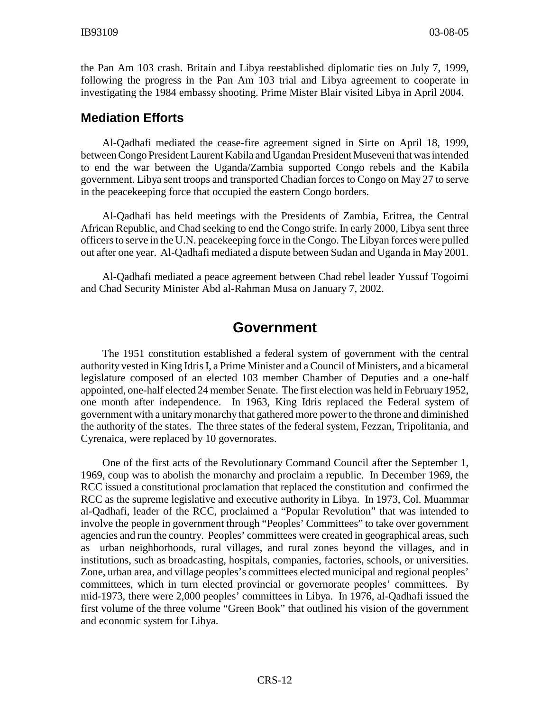the Pan Am 103 crash. Britain and Libya reestablished diplomatic ties on July 7, 1999, following the progress in the Pan Am 103 trial and Libya agreement to cooperate in investigating the 1984 embassy shooting. Prime Mister Blair visited Libya in April 2004.

#### **Mediation Efforts**

Al-Qadhafi mediated the cease-fire agreement signed in Sirte on April 18, 1999, between Congo President Laurent Kabila and Ugandan President Museveni that was intended to end the war between the Uganda/Zambia supported Congo rebels and the Kabila government. Libya sent troops and transported Chadian forces to Congo on May 27 to serve in the peacekeeping force that occupied the eastern Congo borders.

Al-Qadhafi has held meetings with the Presidents of Zambia, Eritrea, the Central African Republic, and Chad seeking to end the Congo strife. In early 2000, Libya sent three officers to serve in the U.N. peacekeeping force in the Congo. The Libyan forces were pulled out after one year. Al-Qadhafi mediated a dispute between Sudan and Uganda in May 2001.

Al-Qadhafi mediated a peace agreement between Chad rebel leader Yussuf Togoimi and Chad Security Minister Abd al-Rahman Musa on January 7, 2002.

# **Government**

The 1951 constitution established a federal system of government with the central authority vested in King Idris I, a Prime Minister and a Council of Ministers, and a bicameral legislature composed of an elected 103 member Chamber of Deputies and a one-half appointed, one-half elected 24 member Senate. The first election was held in February 1952, one month after independence. In 1963, King Idris replaced the Federal system of government with a unitary monarchy that gathered more power to the throne and diminished the authority of the states. The three states of the federal system, Fezzan, Tripolitania, and Cyrenaica, were replaced by 10 governorates.

One of the first acts of the Revolutionary Command Council after the September 1, 1969, coup was to abolish the monarchy and proclaim a republic. In December 1969, the RCC issued a constitutional proclamation that replaced the constitution and confirmed the RCC as the supreme legislative and executive authority in Libya. In 1973, Col. Muammar al-Qadhafi, leader of the RCC, proclaimed a "Popular Revolution" that was intended to involve the people in government through "Peoples' Committees" to take over government agencies and run the country. Peoples' committees were created in geographical areas, such as urban neighborhoods, rural villages, and rural zones beyond the villages, and in institutions, such as broadcasting, hospitals, companies, factories, schools, or universities. Zone, urban area, and village peoples's committees elected municipal and regional peoples' committees, which in turn elected provincial or governorate peoples' committees. By mid-1973, there were 2,000 peoples' committees in Libya. In 1976, al-Qadhafi issued the first volume of the three volume "Green Book" that outlined his vision of the government and economic system for Libya.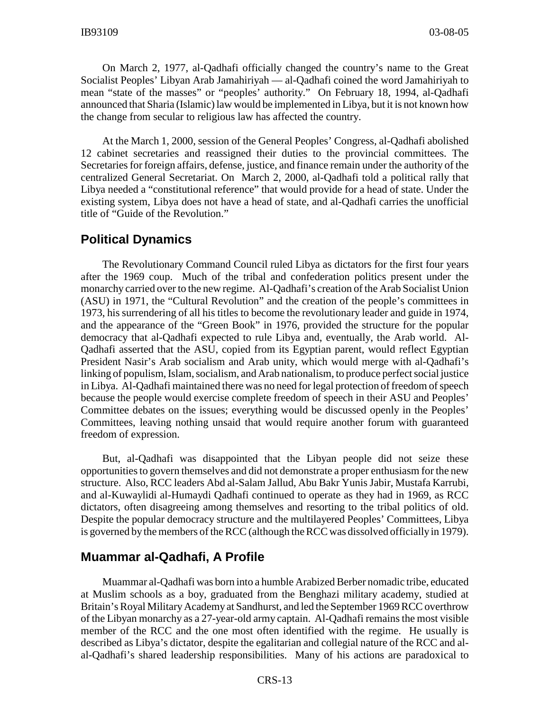On March 2, 1977, al-Qadhafi officially changed the country's name to the Great Socialist Peoples' Libyan Arab Jamahiriyah — al-Qadhafi coined the word Jamahiriyah to mean "state of the masses" or "peoples' authority." On February 18, 1994, al-Qadhafi announced that Sharia (Islamic) law would be implemented in Libya, but it is not known how the change from secular to religious law has affected the country.

At the March 1, 2000, session of the General Peoples' Congress, al-Qadhafi abolished 12 cabinet secretaries and reassigned their duties to the provincial committees. The Secretaries for foreign affairs, defense, justice, and finance remain under the authority of the centralized General Secretariat. On March 2, 2000, al-Qadhafi told a political rally that Libya needed a "constitutional reference" that would provide for a head of state. Under the existing system, Libya does not have a head of state, and al-Qadhafi carries the unofficial title of "Guide of the Revolution."

#### **Political Dynamics**

The Revolutionary Command Council ruled Libya as dictators for the first four years after the 1969 coup. Much of the tribal and confederation politics present under the monarchy carried over to the new regime. Al-Qadhafi's creation of the Arab Socialist Union (ASU) in 1971, the "Cultural Revolution" and the creation of the people's committees in 1973, his surrendering of all his titles to become the revolutionary leader and guide in 1974, and the appearance of the "Green Book" in 1976, provided the structure for the popular democracy that al-Qadhafi expected to rule Libya and, eventually, the Arab world. Al-Qadhafi asserted that the ASU, copied from its Egyptian parent, would reflect Egyptian President Nasir's Arab socialism and Arab unity, which would merge with al-Qadhafi's linking of populism, Islam, socialism, and Arab nationalism, to produce perfect social justice in Libya. Al-Qadhafi maintained there was no need for legal protection of freedom of speech because the people would exercise complete freedom of speech in their ASU and Peoples' Committee debates on the issues; everything would be discussed openly in the Peoples' Committees, leaving nothing unsaid that would require another forum with guaranteed freedom of expression.

But, al-Qadhafi was disappointed that the Libyan people did not seize these opportunities to govern themselves and did not demonstrate a proper enthusiasm for the new structure. Also, RCC leaders Abd al-Salam Jallud, Abu Bakr Yunis Jabir, Mustafa Karrubi, and al-Kuwaylidi al-Humaydi Qadhafi continued to operate as they had in 1969, as RCC dictators, often disagreeing among themselves and resorting to the tribal politics of old. Despite the popular democracy structure and the multilayered Peoples' Committees, Libya is governed by the members of the RCC (although the RCC was dissolved officially in 1979).

#### **Muammar al-Qadhafi, A Profile**

Muammar al-Qadhafi was born into a humble Arabized Berber nomadic tribe, educated at Muslim schools as a boy, graduated from the Benghazi military academy, studied at Britain's Royal Military Academy at Sandhurst, and led the September 1969 RCC overthrow of the Libyan monarchy as a 27-year-old army captain. Al-Qadhafi remains the most visible member of the RCC and the one most often identified with the regime. He usually is described as Libya's dictator, despite the egalitarian and collegial nature of the RCC and alal-Qadhafi's shared leadership responsibilities. Many of his actions are paradoxical to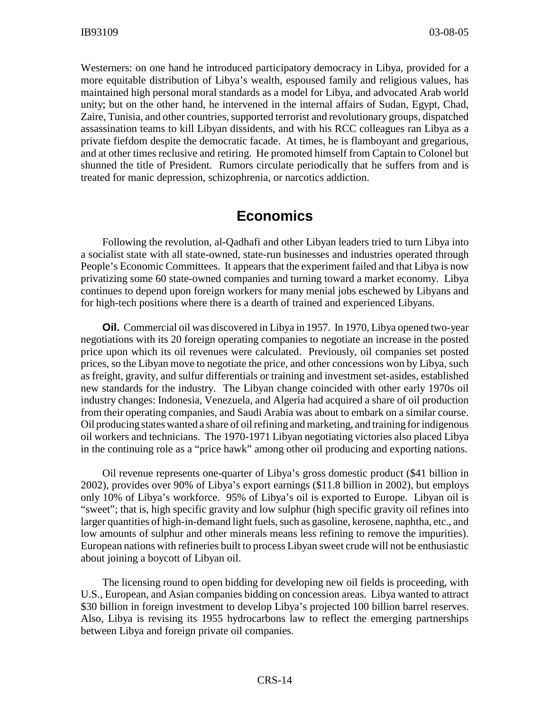Westerners: on one hand he introduced participatory democracy in Libya, provided for a more equitable distribution of Libya's wealth, espoused family and religious values, has maintained high personal moral standards as a model for Libya, and advocated Arab world unity; but on the other hand, he intervened in the internal affairs of Sudan, Egypt, Chad, Zaire, Tunisia, and other countries, supported terrorist and revolutionary groups, dispatched assassination teams to kill Libyan dissidents, and with his RCC colleagues ran Libya as a private fiefdom despite the democratic facade. At times, he is flamboyant and gregarious, and at other times reclusive and retiring. He promoted himself from Captain to Colonel but shunned the title of President. Rumors circulate periodically that he suffers from and is treated for manic depression, schizophrenia, or narcotics addiction.

# **Economics**

Following the revolution, al-Qadhafi and other Libyan leaders tried to turn Libya into a socialist state with all state-owned, state-run businesses and industries operated through People's Economic Committees. It appears that the experiment failed and that Libya is now privatizing some 60 state-owned companies and turning toward a market economy. Libya continues to depend upon foreign workers for many menial jobs eschewed by Libyans and for high-tech positions where there is a dearth of trained and experienced Libyans.

**Oil.** Commercial oil was discovered in Libya in 1957. In 1970, Libya opened two-year negotiations with its 20 foreign operating companies to negotiate an increase in the posted price upon which its oil revenues were calculated. Previously, oil companies set posted prices, so the Libyan move to negotiate the price, and other concessions won by Libya, such as freight, gravity, and sulfur differentials or training and investment set-asides, established new standards for the industry. The Libyan change coincided with other early 1970s oil industry changes: Indonesia, Venezuela, and Algeria had acquired a share of oil production from their operating companies, and Saudi Arabia was about to embark on a similar course. Oil producing states wanted a share of oil refining and marketing, and training for indigenous oil workers and technicians. The 1970-1971 Libyan negotiating victories also placed Libya in the continuing role as a "price hawk" among other oil producing and exporting nations.

Oil revenue represents one-quarter of Libya's gross domestic product (\$41 billion in 2002), provides over 90% of Libya's export earnings (\$11.8 billion in 2002), but employs only 10% of Libya's workforce. 95% of Libya's oil is exported to Europe. Libyan oil is "sweet"; that is, high specific gravity and low sulphur (high specific gravity oil refines into larger quantities of high-in-demand light fuels, such as gasoline, kerosene, naphtha, etc., and low amounts of sulphur and other minerals means less refining to remove the impurities). European nations with refineries built to process Libyan sweet crude will not be enthusiastic about joining a boycott of Libyan oil.

The licensing round to open bidding for developing new oil fields is proceeding, with U.S., European, and Asian companies bidding on concession areas. Libya wanted to attract \$30 billion in foreign investment to develop Libya's projected 100 billion barrel reserves. Also, Libya is revising its 1955 hydrocarbons law to reflect the emerging partnerships between Libya and foreign private oil companies.